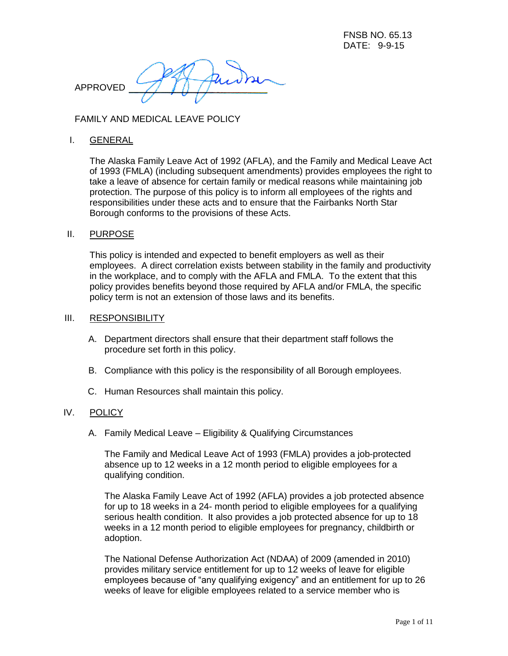APPROVED

FAMILY AND MEDICAL LEAVE POLICY

## I. GENERAL

The Alaska Family Leave Act of 1992 (AFLA), and the Family and Medical Leave Act of 1993 (FMLA) (including subsequent amendments) provides employees the right to take a leave of absence for certain family or medical reasons while maintaining job protection. The purpose of this policy is to inform all employees of the rights and responsibilities under these acts and to ensure that the Fairbanks North Star Borough conforms to the provisions of these Acts.

## II. PURPOSE

This policy is intended and expected to benefit employers as well as their employees. A direct correlation exists between stability in the family and productivity in the workplace, and to comply with the AFLA and FMLA. To the extent that this policy provides benefits beyond those required by AFLA and/or FMLA, the specific policy term is not an extension of those laws and its benefits.

### III. RESPONSIBILITY

- A. Department directors shall ensure that their department staff follows the procedure set forth in this policy.
- B. Compliance with this policy is the responsibility of all Borough employees.
- C. Human Resources shall maintain this policy.

## IV. POLICY

A. Family Medical Leave – Eligibility & Qualifying Circumstances

The Family and Medical Leave Act of 1993 (FMLA) provides a job-protected absence up to 12 weeks in a 12 month period to eligible employees for a qualifying condition.

The Alaska Family Leave Act of 1992 (AFLA) provides a job protected absence for up to 18 weeks in a 24- month period to eligible employees for a qualifying serious health condition. It also provides a job protected absence for up to 18 weeks in a 12 month period to eligible employees for pregnancy, childbirth or adoption.

The National Defense Authorization Act (NDAA) of 2009 (amended in 2010) provides military service entitlement for up to 12 weeks of leave for eligible employees because of "any qualifying exigency" and an entitlement for up to 26 weeks of leave for eligible employees related to a service member who is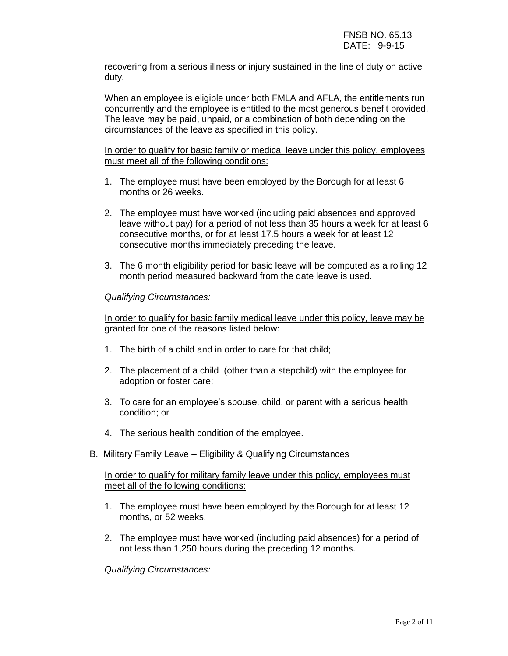recovering from a serious illness or injury sustained in the line of duty on active duty.

When an employee is eligible under both FMLA and AFLA, the entitlements run concurrently and the employee is entitled to the most generous benefit provided. The leave may be paid, unpaid, or a combination of both depending on the circumstances of the leave as specified in this policy.

# In order to qualify for basic family or medical leave under this policy, employees must meet all of the following conditions:

- 1. The employee must have been employed by the Borough for at least 6 months or 26 weeks.
- 2. The employee must have worked (including paid absences and approved leave without pay) for a period of not less than 35 hours a week for at least 6 consecutive months, or for at least 17.5 hours a week for at least 12 consecutive months immediately preceding the leave.
- 3. The 6 month eligibility period for basic leave will be computed as a rolling 12 month period measured backward from the date leave is used.

# *Qualifying Circumstances:*

In order to qualify for basic family medical leave under this policy, leave may be granted for one of the reasons listed below:

- 1. The birth of a child and in order to care for that child;
- 2. The placement of a child (other than a stepchild) with the employee for adoption or foster care;
- 3. To care for an employee's spouse, child, or parent with a serious health condition; or
- 4. The serious health condition of the employee.
- B. Military Family Leave Eligibility & Qualifying Circumstances

# In order to qualify for military family leave under this policy, employees must meet all of the following conditions:

- 1. The employee must have been employed by the Borough for at least 12 months, or 52 weeks.
- 2. The employee must have worked (including paid absences) for a period of not less than 1,250 hours during the preceding 12 months.

*Qualifying Circumstances:*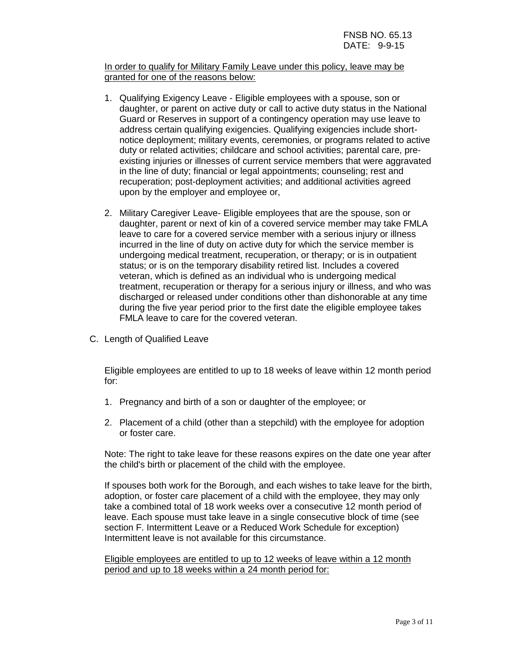In order to qualify for Military Family Leave under this policy, leave may be granted for one of the reasons below:

- 1. Qualifying Exigency Leave Eligible employees with a spouse, son or daughter, or parent on active duty or call to active duty status in the National Guard or Reserves in support of a contingency operation may use leave to address certain qualifying exigencies. Qualifying exigencies include shortnotice deployment; military events, ceremonies, or programs related to active duty or related activities; childcare and school activities; parental care, preexisting injuries or illnesses of current service members that were aggravated in the line of duty; financial or legal appointments; counseling; rest and recuperation; post-deployment activities; and additional activities agreed upon by the employer and employee or,
- 2. Military Caregiver Leave- Eligible employees that are the spouse, son or daughter, parent or next of kin of a covered service member may take FMLA leave to care for a covered service member with a serious injury or illness incurred in the line of duty on active duty for which the service member is undergoing medical treatment, recuperation, or therapy; or is in outpatient status; or is on the temporary disability retired list. Includes a covered veteran, which is defined as an individual who is undergoing medical treatment, recuperation or therapy for a serious injury or illness, and who was discharged or released under conditions other than dishonorable at any time during the five year period prior to the first date the eligible employee takes FMLA leave to care for the covered veteran.
- C. Length of Qualified Leave

Eligible employees are entitled to up to 18 weeks of leave within 12 month period for:

- 1. Pregnancy and birth of a son or daughter of the employee; or
- 2. Placement of a child (other than a stepchild) with the employee for adoption or foster care.

Note: The right to take leave for these reasons expires on the date one year after the child's birth or placement of the child with the employee.

If spouses both work for the Borough, and each wishes to take leave for the birth, adoption, or foster care placement of a child with the employee, they may only take a combined total of 18 work weeks over a consecutive 12 month period of leave. Each spouse must take leave in a single consecutive block of time (see section F. Intermittent Leave or a Reduced Work Schedule for exception) Intermittent leave is not available for this circumstance.

Eligible employees are entitled to up to 12 weeks of leave within a 12 month period and up to 18 weeks within a 24 month period for: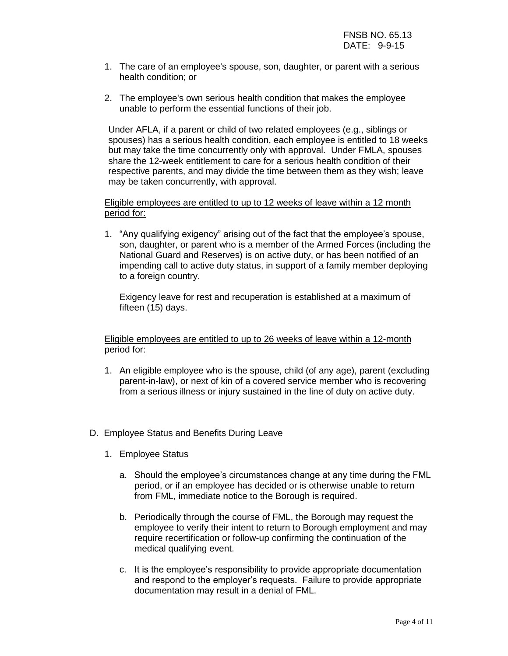- 1. The care of an employee's spouse, son, daughter, or parent with a serious health condition; or
- 2. The employee's own serious health condition that makes the employee unable to perform the essential functions of their job.

Under AFLA, if a parent or child of two related employees (e.g., siblings or spouses) has a serious health condition, each employee is entitled to 18 weeks but may take the time concurrently only with approval. Under FMLA, spouses share the 12-week entitlement to care for a serious health condition of their respective parents, and may divide the time between them as they wish; leave may be taken concurrently, with approval.

## Eligible employees are entitled to up to 12 weeks of leave within a 12 month period for:

1. "Any qualifying exigency" arising out of the fact that the employee's spouse, son, daughter, or parent who is a member of the Armed Forces (including the National Guard and Reserves) is on active duty, or has been notified of an impending call to active duty status, in support of a family member deploying to a foreign country.

Exigency leave for rest and recuperation is established at a maximum of fifteen (15) days.

Eligible employees are entitled to up to 26 weeks of leave within a 12-month period for:

- 1. An eligible employee who is the spouse, child (of any age), parent (excluding parent-in-law), or next of kin of a covered service member who is recovering from a serious illness or injury sustained in the line of duty on active duty.
- D. Employee Status and Benefits During Leave
	- 1. Employee Status
		- a. Should the employee's circumstances change at any time during the FML period, or if an employee has decided or is otherwise unable to return from FML, immediate notice to the Borough is required.
		- b. Periodically through the course of FML, the Borough may request the employee to verify their intent to return to Borough employment and may require recertification or follow-up confirming the continuation of the medical qualifying event.
		- c. It is the employee's responsibility to provide appropriate documentation and respond to the employer's requests. Failure to provide appropriate documentation may result in a denial of FML.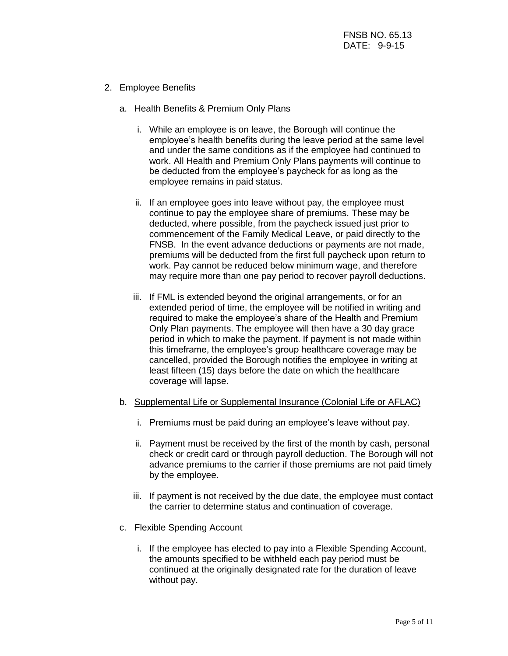- 2. Employee Benefits
	- a. Health Benefits & Premium Only Plans
		- i. While an employee is on leave, the Borough will continue the employee's health benefits during the leave period at the same level and under the same conditions as if the employee had continued to work. All Health and Premium Only Plans payments will continue to be deducted from the employee's paycheck for as long as the employee remains in paid status.
		- ii. If an employee goes into leave without pay, the employee must continue to pay the employee share of premiums. These may be deducted, where possible, from the paycheck issued just prior to commencement of the Family Medical Leave, or paid directly to the FNSB. In the event advance deductions or payments are not made, premiums will be deducted from the first full paycheck upon return to work. Pay cannot be reduced below minimum wage, and therefore may require more than one pay period to recover payroll deductions.
		- iii. If FML is extended beyond the original arrangements, or for an extended period of time, the employee will be notified in writing and required to make the employee's share of the Health and Premium Only Plan payments. The employee will then have a 30 day grace period in which to make the payment. If payment is not made within this timeframe, the employee's group healthcare coverage may be cancelled, provided the Borough notifies the employee in writing at least fifteen (15) days before the date on which the healthcare coverage will lapse.
	- b. Supplemental Life or Supplemental Insurance (Colonial Life or AFLAC)
		- i. Premiums must be paid during an employee's leave without pay.
		- ii. Payment must be received by the first of the month by cash, personal check or credit card or through payroll deduction. The Borough will not advance premiums to the carrier if those premiums are not paid timely by the employee.
		- iii. If payment is not received by the due date, the employee must contact the carrier to determine status and continuation of coverage.
	- c. Flexible Spending Account
		- i. If the employee has elected to pay into a Flexible Spending Account, the amounts specified to be withheld each pay period must be continued at the originally designated rate for the duration of leave without pay.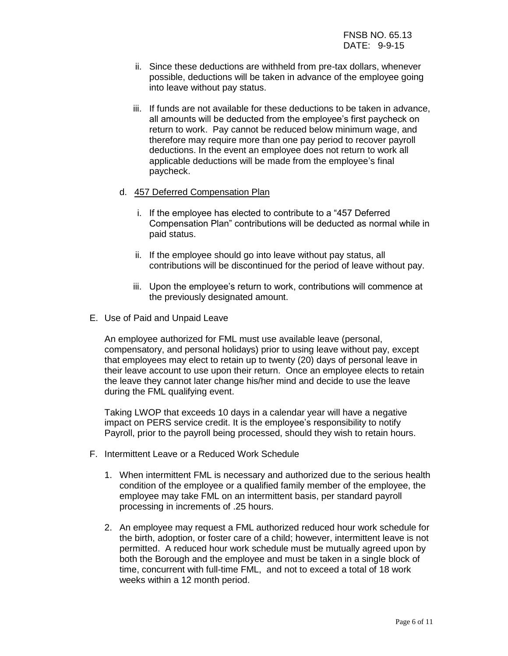- ii. Since these deductions are withheld from pre-tax dollars, whenever possible, deductions will be taken in advance of the employee going into leave without pay status.
- iii. If funds are not available for these deductions to be taken in advance, all amounts will be deducted from the employee's first paycheck on return to work. Pay cannot be reduced below minimum wage, and therefore may require more than one pay period to recover payroll deductions. In the event an employee does not return to work all applicable deductions will be made from the employee's final paycheck.

#### d. 457 Deferred Compensation Plan

- i. If the employee has elected to contribute to a "457 Deferred Compensation Plan" contributions will be deducted as normal while in paid status.
- ii. If the employee should go into leave without pay status, all contributions will be discontinued for the period of leave without pay.
- iii. Upon the employee's return to work, contributions will commence at the previously designated amount.
- E. Use of Paid and Unpaid Leave

An employee authorized for FML must use available leave (personal, compensatory, and personal holidays) prior to using leave without pay, except that employees may elect to retain up to twenty (20) days of personal leave in their leave account to use upon their return. Once an employee elects to retain the leave they cannot later change his/her mind and decide to use the leave during the FML qualifying event.

Taking LWOP that exceeds 10 days in a calendar year will have a negative impact on PERS service credit. It is the employee's responsibility to notify Payroll, prior to the payroll being processed, should they wish to retain hours.

- F. Intermittent Leave or a Reduced Work Schedule
	- 1. When intermittent FML is necessary and authorized due to the serious health condition of the employee or a qualified family member of the employee, the employee may take FML on an intermittent basis, per standard payroll processing in increments of .25 hours.
	- 2. An employee may request a FML authorized reduced hour work schedule for the birth, adoption, or foster care of a child; however, intermittent leave is not permitted. A reduced hour work schedule must be mutually agreed upon by both the Borough and the employee and must be taken in a single block of time, concurrent with full-time FML, and not to exceed a total of 18 work weeks within a 12 month period.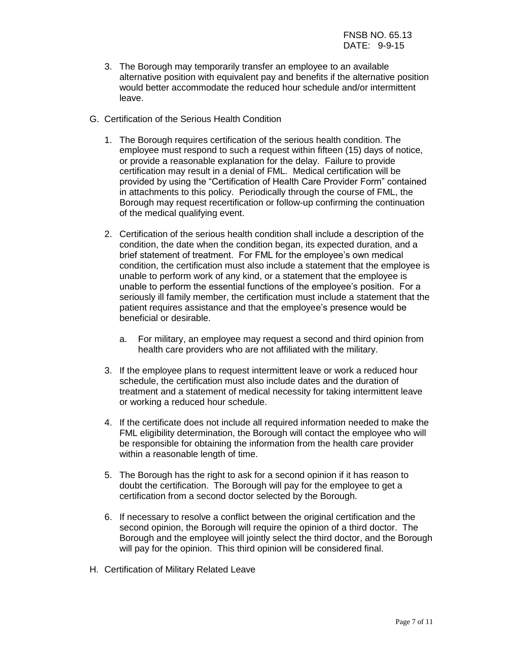- 3. The Borough may temporarily transfer an employee to an available alternative position with equivalent pay and benefits if the alternative position would better accommodate the reduced hour schedule and/or intermittent leave.
- G. Certification of the Serious Health Condition
	- 1. The Borough requires certification of the serious health condition. The employee must respond to such a request within fifteen (15) days of notice, or provide a reasonable explanation for the delay. Failure to provide certification may result in a denial of FML. Medical certification will be provided by using the "Certification of Health Care Provider Form" contained in attachments to this policy. Periodically through the course of FML, the Borough may request recertification or follow-up confirming the continuation of the medical qualifying event.
	- 2. Certification of the serious health condition shall include a description of the condition, the date when the condition began, its expected duration, and a brief statement of treatment. For FML for the employee's own medical condition, the certification must also include a statement that the employee is unable to perform work of any kind, or a statement that the employee is unable to perform the essential functions of the employee's position. For a seriously ill family member, the certification must include a statement that the patient requires assistance and that the employee's presence would be beneficial or desirable.
		- a. For military, an employee may request a second and third opinion from health care providers who are not affiliated with the military.
	- 3. If the employee plans to request intermittent leave or work a reduced hour schedule, the certification must also include dates and the duration of treatment and a statement of medical necessity for taking intermittent leave or working a reduced hour schedule.
	- 4. If the certificate does not include all required information needed to make the FML eligibility determination, the Borough will contact the employee who will be responsible for obtaining the information from the health care provider within a reasonable length of time.
	- 5. The Borough has the right to ask for a second opinion if it has reason to doubt the certification. The Borough will pay for the employee to get a certification from a second doctor selected by the Borough.
	- 6. If necessary to resolve a conflict between the original certification and the second opinion, the Borough will require the opinion of a third doctor. The Borough and the employee will jointly select the third doctor, and the Borough will pay for the opinion. This third opinion will be considered final.
- H. Certification of Military Related Leave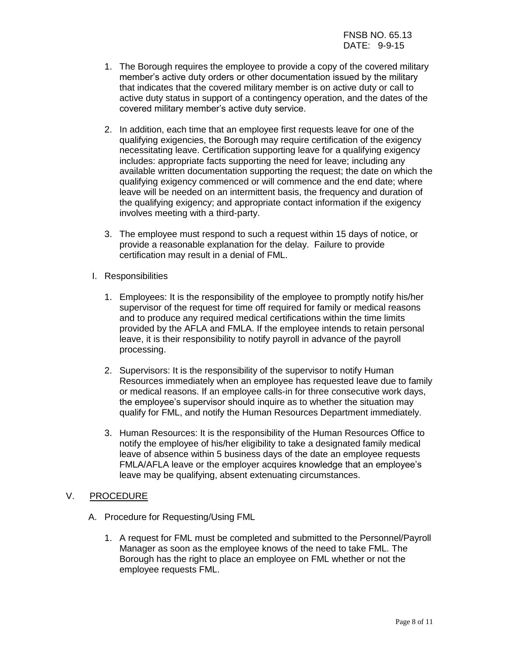- 1. The Borough requires the employee to provide a copy of the covered military member's active duty orders or other documentation issued by the military that indicates that the covered military member is on active duty or call to active duty status in support of a contingency operation, and the dates of the covered military member's active duty service.
- 2. In addition, each time that an employee first requests leave for one of the qualifying exigencies, the Borough may require certification of the exigency necessitating leave. Certification supporting leave for a qualifying exigency includes: appropriate facts supporting the need for leave; including any available written documentation supporting the request; the date on which the qualifying exigency commenced or will commence and the end date; where leave will be needed on an intermittent basis, the frequency and duration of the qualifying exigency; and appropriate contact information if the exigency involves meeting with a third-party.
- 3. The employee must respond to such a request within 15 days of notice, or provide a reasonable explanation for the delay. Failure to provide certification may result in a denial of FML.
- I. Responsibilities
	- 1. Employees: It is the responsibility of the employee to promptly notify his/her supervisor of the request for time off required for family or medical reasons and to produce any required medical certifications within the time limits provided by the AFLA and FMLA. If the employee intends to retain personal leave, it is their responsibility to notify payroll in advance of the payroll processing.
	- 2. Supervisors: It is the responsibility of the supervisor to notify Human Resources immediately when an employee has requested leave due to family or medical reasons. If an employee calls-in for three consecutive work days, the employee's supervisor should inquire as to whether the situation may qualify for FML, and notify the Human Resources Department immediately.
	- 3. Human Resources: It is the responsibility of the Human Resources Office to notify the employee of his/her eligibility to take a designated family medical leave of absence within 5 business days of the date an employee requests FMLA/AFLA leave or the employer acquires knowledge that an employee's leave may be qualifying, absent extenuating circumstances.
- V. PROCEDURE
	- A. Procedure for Requesting/Using FML
		- 1. A request for FML must be completed and submitted to the Personnel/Payroll Manager as soon as the employee knows of the need to take FML. The Borough has the right to place an employee on FML whether or not the employee requests FML.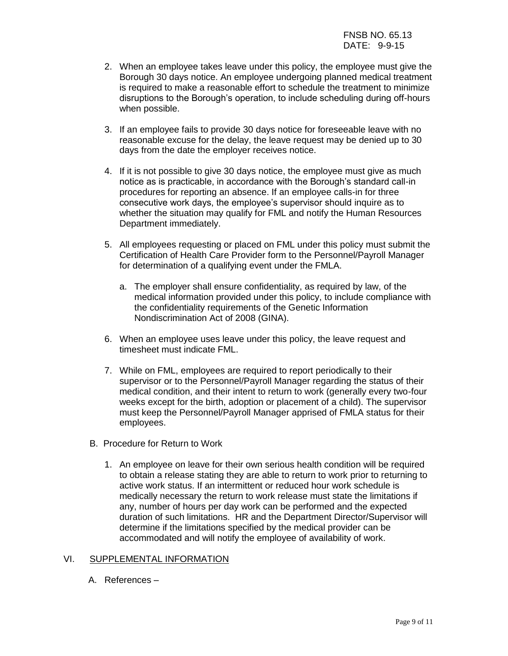- 2. When an employee takes leave under this policy, the employee must give the Borough 30 days notice. An employee undergoing planned medical treatment is required to make a reasonable effort to schedule the treatment to minimize disruptions to the Borough's operation, to include scheduling during off-hours when possible.
- 3. If an employee fails to provide 30 days notice for foreseeable leave with no reasonable excuse for the delay, the leave request may be denied up to 30 days from the date the employer receives notice.
- 4. If it is not possible to give 30 days notice, the employee must give as much notice as is practicable, in accordance with the Borough's standard call-in procedures for reporting an absence. If an employee calls-in for three consecutive work days, the employee's supervisor should inquire as to whether the situation may qualify for FML and notify the Human Resources Department immediately.
- 5. All employees requesting or placed on FML under this policy must submit the Certification of Health Care Provider form to the Personnel/Payroll Manager for determination of a qualifying event under the FMLA.
	- a. The employer shall ensure confidentiality, as required by law, of the medical information provided under this policy, to include compliance with the confidentiality requirements of the Genetic Information Nondiscrimination Act of 2008 (GINA).
- 6. When an employee uses leave under this policy, the leave request and timesheet must indicate FML.
- 7. While on FML, employees are required to report periodically to their supervisor or to the Personnel/Payroll Manager regarding the status of their medical condition, and their intent to return to work (generally every two-four weeks except for the birth, adoption or placement of a child). The supervisor must keep the Personnel/Payroll Manager apprised of FMLA status for their employees.
- B. Procedure for Return to Work
	- 1. An employee on leave for their own serious health condition will be required to obtain a release stating they are able to return to work prior to returning to active work status. If an intermittent or reduced hour work schedule is medically necessary the return to work release must state the limitations if any, number of hours per day work can be performed and the expected duration of such limitations. HR and the Department Director/Supervisor will determine if the limitations specified by the medical provider can be accommodated and will notify the employee of availability of work.

## VI. SUPPLEMENTAL INFORMATION

A. References –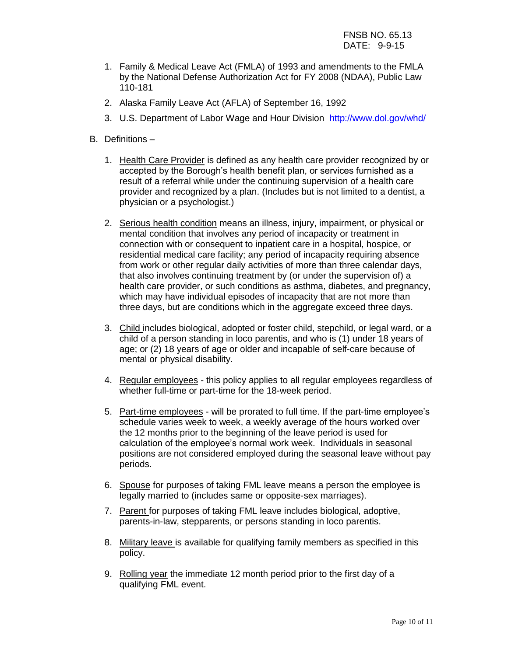- 1. Family & Medical Leave Act (FMLA) of 1993 and amendments to the FMLA by the National Defense Authorization Act for FY 2008 (NDAA), Public Law 110-181
- 2. Alaska Family Leave Act (AFLA) of September 16, 1992
- 3. U.S. Department of Labor Wage and Hour Division <http://www.dol.gov/whd/>
- B. Definitions
	- 1. Health Care Provider is defined as any health care provider recognized by or accepted by the Borough's health benefit plan, or services furnished as a result of a referral while under the continuing supervision of a health care provider and recognized by a plan. (Includes but is not limited to a dentist, a physician or a psychologist.)
	- 2. Serious health condition means an illness, injury, impairment, or physical or mental condition that involves any period of incapacity or treatment in connection with or consequent to inpatient care in a hospital, hospice, or residential medical care facility; any period of incapacity requiring absence from work or other regular daily activities of more than three calendar days, that also involves continuing treatment by (or under the supervision of) a health care provider, or such conditions as asthma, diabetes, and pregnancy, which may have individual episodes of incapacity that are not more than three days, but are conditions which in the aggregate exceed three days.
	- 3. Child includes biological, adopted or foster child, stepchild, or legal ward, or a child of a person standing in loco parentis, and who is (1) under 18 years of age; or (2) 18 years of age or older and incapable of self-care because of mental or physical disability.
	- 4. Regular employees this policy applies to all regular employees regardless of whether full-time or part-time for the 18-week period.
	- 5. Part-time employees will be prorated to full time. If the part-time employee's schedule varies week to week, a weekly average of the hours worked over the 12 months prior to the beginning of the leave period is used for calculation of the employee's normal work week. Individuals in seasonal positions are not considered employed during the seasonal leave without pay periods.
	- 6. Spouse for purposes of taking FML leave means a person the employee is legally married to (includes same or opposite-sex marriages).
	- 7. Parent for purposes of taking FML leave includes biological, adoptive, parents-in-law, stepparents, or persons standing in loco parentis.
	- 8. Military leave is available for qualifying family members as specified in this policy.
	- 9. Rolling year the immediate 12 month period prior to the first day of a qualifying FML event.